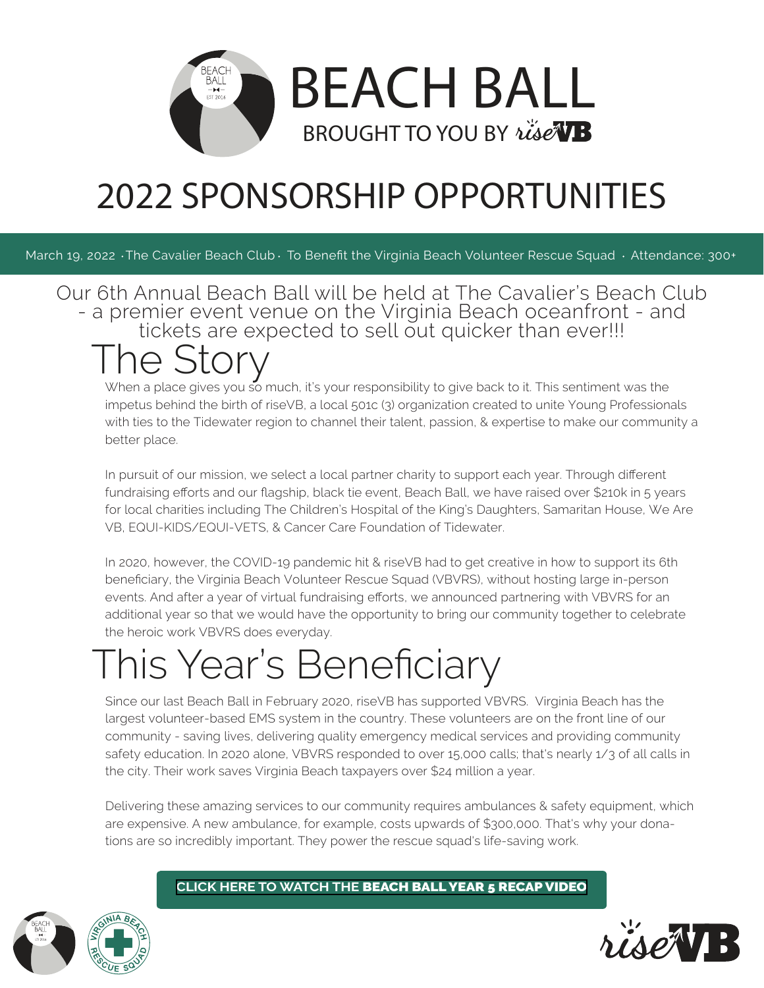

## 2022 SPONSORSHIP OPPORTUNITIES

March 19, 2022 The Cavalier Beach Club To Benefit the Virginia Beach Volunteer Rescue Squad · Attendance: 300+

Our 6th Annual Beach Ball will be held at The Cavalier's Beach Club - a premier event venue on the Virginia Beach oceanfront - and tickets are expected to sell out quicker than ever!!!

## he Storv

When a place gives you so much, it's your responsibility to give back to it. This sentiment was the impetus behind the birth of riseVB, a local 501c (3) organization created to unite Young Professionals with ties to the Tidewater region to channel their talent, passion, & expertise to make our community a better place.

In pursuit of our mission, we select a local partner charity to support each year. Through different fundraising efforts and our flagship, black tie event, Beach Ball, we have raised over \$210k in 5 years for local charities including The Children's Hospital of the King's Daughters, Samaritan House, We Are VB, EQUI-KIDS/EQUI-VETS, & Cancer Care Foundation of Tidewater.

In 2020, however, the COVID-19 pandemic hit & riseVB had to get creative in how to support its 6th beneficiary, the Virginia Beach Volunteer Rescue Squad (VBVRS), without hosting large in-person events. And after a year of virtual fundraising efforts, we announced partnering with VBVRS for an additional year so that we would have the opportunity to bring our community together to celebrate the heroic work VBVRS does everyday.

# This Year's Beneficiary

Since our last Beach Ball in February 2020, riseVB has supported VBVRS. Virginia Beach has the largest volunteer-based EMS system in the country. These volunteers are on the front line of our community - saving lives, delivering quality emergency medical services and providing community safety education. In 2020 alone, VBVRS responded to over 15,000 calls; that's nearly 1/3 of all calls in the city. Their work saves Virginia Beach taxpayers over \$24 million a year.

Delivering these amazing services to our community requires ambulances & safety equipment, which are expensive. A new ambulance, for example, costs upwards of \$300,000. That's why your donations are so incredibly important. They power the rescue squad's life-saving work.

**CLICK HERE TO WATCH THE** [BEACH BALL YEAR 5 RECAP VIDEO](risevb.org)

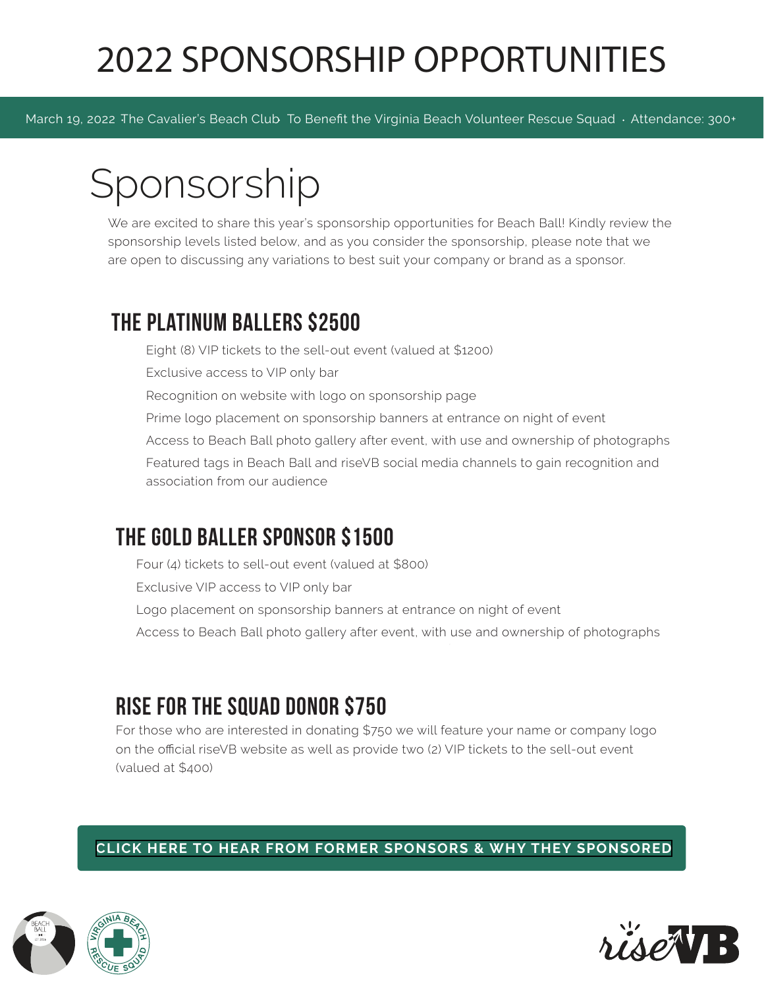## 2022 SPONSORSHIP OPPORTUNITIES

March 19, 2022 The Cavalier's Beach Club To Benefit the Virginia Beach Volunteer Rescue Squad · Attendance: 300+

## Sponsorship

We are excited to share this year's sponsorship opportunities for Beach Ball! Kindly review the sponsorship levels listed below, and as you consider the sponsorship, please note that we are open to discussing any variations to best suit your company or brand as a sponsor.

## the platinum ballers \$2500

Eight (8) VIP tickets to the sell-out event (valued at \$1200) Exclusive access to VIP only bar Recognition on website with logo on sponsorship page Prime logo placement on sponsorship banners at entrance on night of event Access to Beach Ball photo gallery after event, with use and ownership of photographs Featured tags in Beach Ball and riseVB social media channels to gain recognition and association from our audience

### the gold baller sponsor \$1500

Four (4) tickets to sell-out event (valued at \$800)

Exclusive VIP access to VIP only bar

Logo placement on sponsorship banners at entrance on night of event

Access to Beach Ball photo gallery after event, with use and ownership of photographs

### rise for the squad donor \$750

For those who are interested in donating \$750 we will feature your name or company logo on the official riseVB website as well as provide two (2) VIP tickets to the sell-out event (valued at \$400)

### **[CLICK HERE TO HEAR FROM FORMER SPONSORS & WHY THEY SPONSORED](risevb.org)**



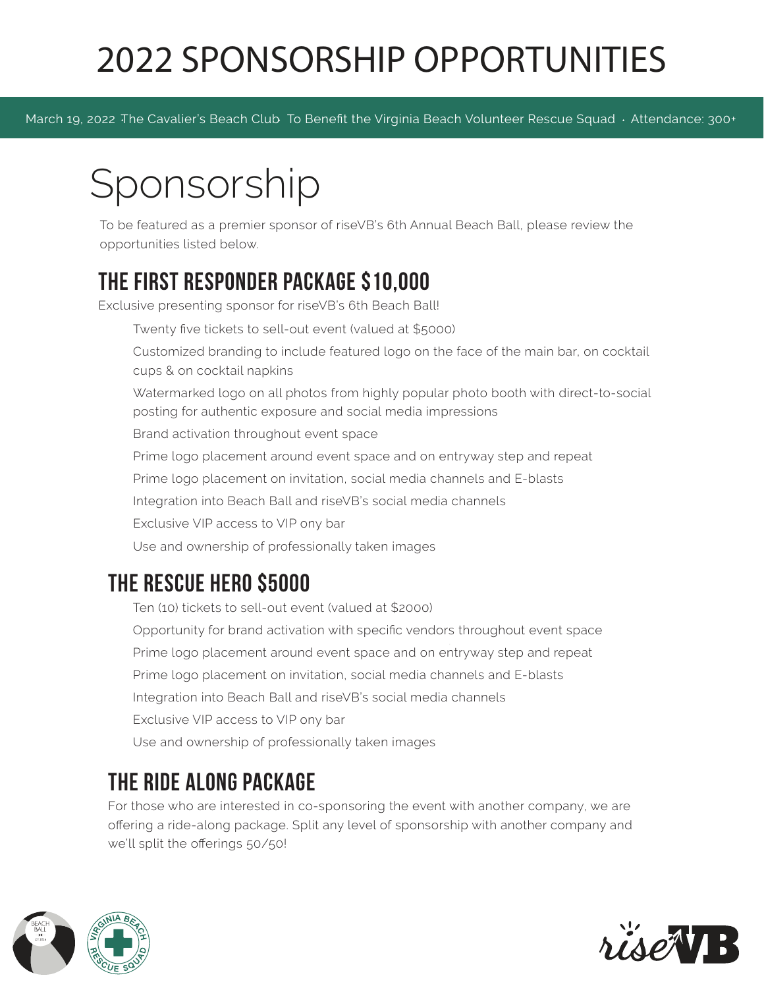## 2022 SPONSORSHIP OPPORTUNITIES

March 19, 2022 The Cavalier's Beach Club To Benefit the Virginia Beach Volunteer Rescue Squad · Attendance: 300+

# Sponsorship

To be featured as a premier sponsor of riseVB's 6th Annual Beach Ball, please review the opportunities listed below.

## the first responder package \$10,000

Exclusive presenting sponsor for riseVB's 6th Beach Ball!

Twenty five tickets to sell-out event (valued at \$5000)

Customized branding to include featured logo on the face of the main bar, on cocktail cups & on cocktail napkins

Watermarked logo on all photos from highly popular photo booth with direct-to-social posting for authentic exposure and social media impressions

Brand activation throughout event space

Prime logo placement around event space and on entryway step and repeat

Prime logo placement on invitation, social media channels and E-blasts

Integration into Beach Ball and riseVB's social media channels

Exclusive VIP access to VIP ony bar

Use and ownership of professionally taken images

## the rescue hero \$5000

Ten (10) tickets to sell-out event (valued at \$2000) Opportunity for brand activation with specific vendors throughout event space Prime logo placement around event space and on entryway step and repeat Prime logo placement on invitation, social media channels and E-blasts Integration into Beach Ball and riseVB's social media channels Exclusive VIP access to VIP ony bar Use and ownership of professionally taken images

## the ride along package

For those who are interested in co-sponsoring the event with another company, we are offering a ride-along package. Split any level of sponsorship with another company and we'll split the offerings 50/50!